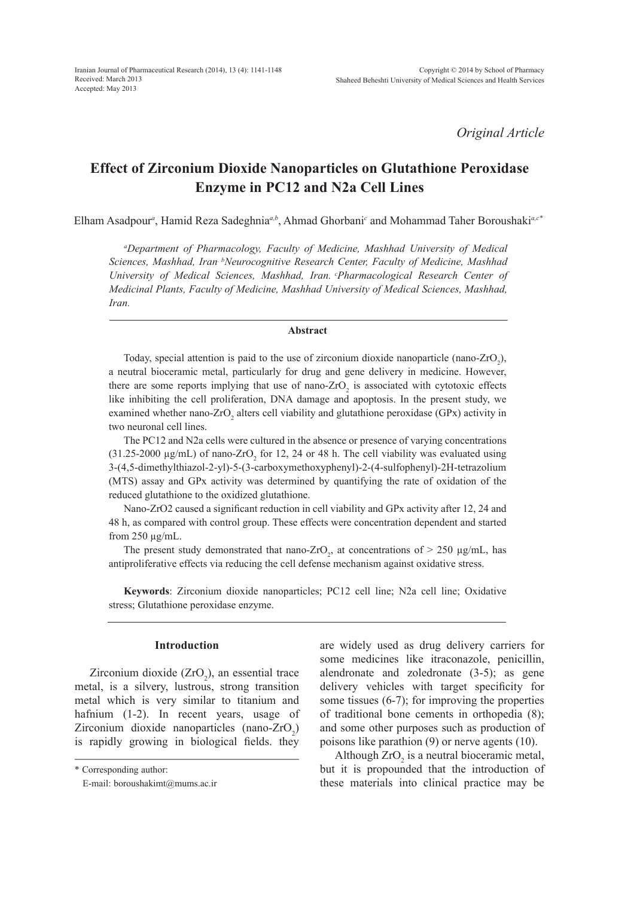*Original Article*

# **Effect of Zirconium Dioxide Nanoparticles on Glutathione Peroxidase Enzyme in PC12 and N2a Cell Lines**

Elham Asadpour*<sup>a</sup>* , Hamid Reza Sadeghnia*a,b*, Ahmad Ghorbani*<sup>c</sup>* and Mohammad Taher Boroushaki*a,c\**

*a Department of Pharmacology, Faculty of Medicine, Mashhad University of Medical Sciences, Mashhad, Iran. bNeurocognitive Research Center, Faculty of Medicine, Mashhad University of Medical Sciences, Mashhad, Iran. cPharmacological Research Center of Medicinal Plants, Faculty of Medicine, Mashhad University of Medical Sciences, Mashhad, Iran.*

#### **Abstract**

Today, special attention is paid to the use of zirconium dioxide nanoparticle (nano-ZrO<sub>2</sub>), a neutral bioceramic metal, particularly for drug and gene delivery in medicine. However, there are some reports implying that use of nano- $ZrO<sub>2</sub>$  is associated with cytotoxic effects like inhibiting the cell proliferation, DNA damage and apoptosis. In the present study, we examined whether nano- $ZrO_2$  alters cell viability and glutathione peroxidase (GPx) activity in two neuronal cell lines.

The PC12 and N2a cells were cultured in the absence or presence of varying concentrations (31.25-2000  $\mu$ g/mL) of nano-ZrO<sub>2</sub> for 12, 24 or 48 h. The cell viability was evaluated using 3-(4,5-dimethylthiazol-2-yl)-5-(3-carboxymethoxyphenyl)-2-(4-sulfophenyl)-2H-tetrazolium (MTS) assay and GPx activity was determined by quantifying the rate of oxidation of the reduced glutathione to the oxidized glutathione.

Nano-ZrO2 caused a significant reduction in cell viability and GPx activity after 12, 24 and 48 h, as compared with control group. These effects were concentration dependent and started from 250 µg/mL.

The present study demonstrated that nano-ZrO<sub>2</sub>, at concentrations of  $> 250 \mu g/mL$ , has antiproliferative effects via reducing the cell defense mechanism against oxidative stress.

**Keywords**: Zirconium dioxide nanoparticles; PC12 cell line; N2a cell line; Oxidative stress; Glutathione peroxidase enzyme.

#### **Introduction**

Zirconium dioxide  $(ZrO<sub>2</sub>)$ , an essential trace metal, is a silvery, lustrous, strong transition metal which is very similar to titanium and hafnium (1-2). In recent years, usage of Zirconium dioxide nanoparticles (nano-ZrO<sub>2</sub>) is rapidly growing in biological fields. they

\* Corresponding author:

are widely used as drug delivery carriers for some medicines like itraconazole, penicillin, alendronate and zoledronate (3-5); as gene delivery vehicles with target specificity for some tissues (6-7); for improving the properties of traditional bone cements in orthopedia (8); and some other purposes such as production of poisons like parathion (9) or nerve agents (10).

Although  $ZrO_2$  is a neutral bioceramic metal, but it is propounded that the introduction of these materials into clinical practice may be

E-mail: boroushakimt@mums.ac.ir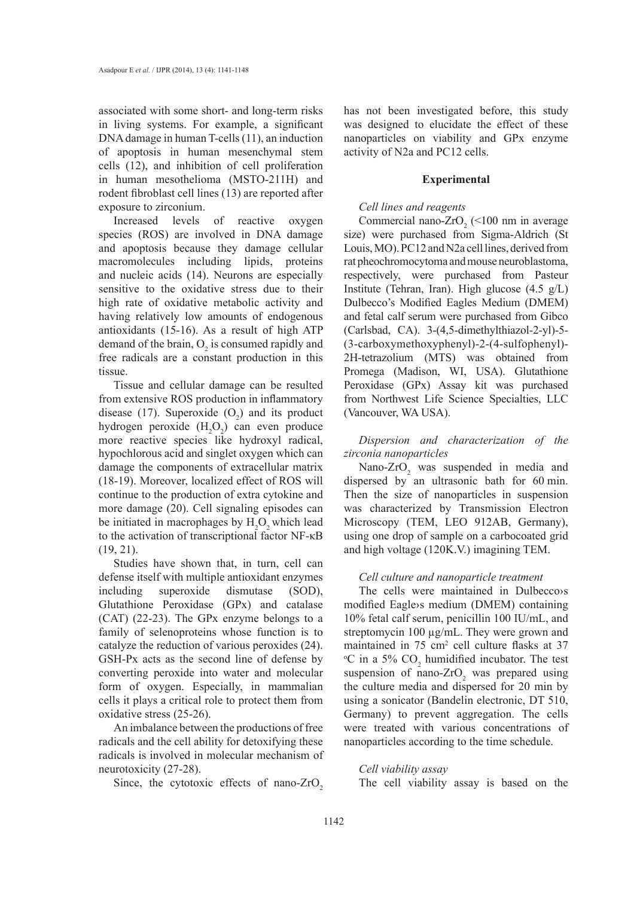associated with some short- and long-term risks in living systems. For example, a significant DNA damage in human T-cells (11), an induction of apoptosis in human mesenchymal stem cells (12), and inhibition of cell proliferation in human mesothelioma (MSTO-211H) and rodent fibroblast cell lines (13) are reported after exposure to zirconium.

Increased levels of reactive oxygen species (ROS) are involved in DNA damage and apoptosis because they damage cellular macromolecules including lipids, proteins and nucleic acids (14). Neurons are especially sensitive to the oxidative stress due to their high rate of oxidative metabolic activity and having relatively low amounts of endogenous antioxidants (15-16). As a result of high ATP demand of the brain,  $O_2$  is consumed rapidly and free radicals are a constant production in this tissue.

Tissue and cellular damage can be resulted from extensive ROS production in inflammatory disease (17). Superoxide  $(O_2)$  and its product hydrogen peroxide  $(H_2O_2)$  can even produce more reactive species like hydroxyl radical, hypochlorous acid and singlet oxygen which can damage the components of extracellular matrix (18-19). Moreover, localized effect of ROS will continue to the production of extra cytokine and more damage (20). Cell signaling episodes can be initiated in macrophages by  $H_2O_2$  which lead to the activation of transcriptional factor NF-κB (19, 21).

Studies have shown that, in turn, cell can defense itself with multiple antioxidant enzymes including superoxide dismutase (SOD), Glutathione Peroxidase (GPx) and catalase (CAT) (22-23). The GPx enzyme belongs to a family of selenoproteins whose function is to catalyze the reduction of various peroxides (24). GSH-Px acts as the second line of defense by converting peroxide into water and molecular form of oxygen. Especially, in mammalian cells it plays a critical role to protect them from oxidative stress (25-26).

An imbalance between the productions of free radicals and the cell ability for detoxifying these radicals is involved in molecular mechanism of neurotoxicity (27-28).

Since, the cytotoxic effects of nano- $ZrO<sub>2</sub>$ 

has not been investigated before, this study was designed to elucidate the effect of these nanoparticles on viability and GPx enzyme activity of N2a and PC12 cells.

#### **Experimental**

#### *Cell lines and reagents*

Commercial nano-ZrO<sub>2</sub> (<100 nm in average size) were purchased from Sigma-Aldrich (St Louis, MO). PC12 and N2a cell lines, derived from rat pheochromocytoma and mouse neuroblastoma, respectively, were purchased from Pasteur Institute (Tehran, Iran). High glucose (4.5 g/L) Dulbecco's Modified Eagles Medium (DMEM) and fetal calf serum were purchased from Gibco (Carlsbad, CA). 3-(4,5-dimethylthiazol-2-yl)-5- (3-carboxymethoxyphenyl)-2-(4-sulfophenyl)- 2H-tetrazolium (MTS) was obtained from Promega (Madison, WI, USA). Glutathione Peroxidase (GPx) Assay kit was purchased from Northwest Life Science Specialties, LLC (Vancouver, WA USA).

*Dispersion and characterization of the zirconia nanoparticles*

Nano- $ZrO<sub>2</sub>$  was suspended in media and dispersed by an ultrasonic bath for 60 min. Then the size of nanoparticles in suspension was characterized by Transmission Electron Microscopy (TEM, LEO 912AB, Germany), using one drop of sample on a carbocoated grid and high voltage (120K.V.) imagining TEM.

#### *Cell culture and nanoparticle treatment*

The cells were maintained in Dulbecco›s modified Eagle›s medium (DMEM) containing 10% fetal calf serum, penicillin 100 IU/mL, and streptomycin 100 µg/mL. They were grown and maintained in 75 cm<sup>2</sup> cell culture flasks at 37  $\rm{^{\circ}C}$  in a 5%  $\rm{CO}_{2}$  humidified incubator. The test suspension of nano- $ZrO<sub>2</sub>$  was prepared using the culture media and dispersed for 20 min by using a sonicator (Bandelin electronic, DT 510, Germany) to prevent aggregation. The cells were treated with various concentrations of nanoparticles according to the time schedule.

*Cell viability assay* The cell viability assay is based on the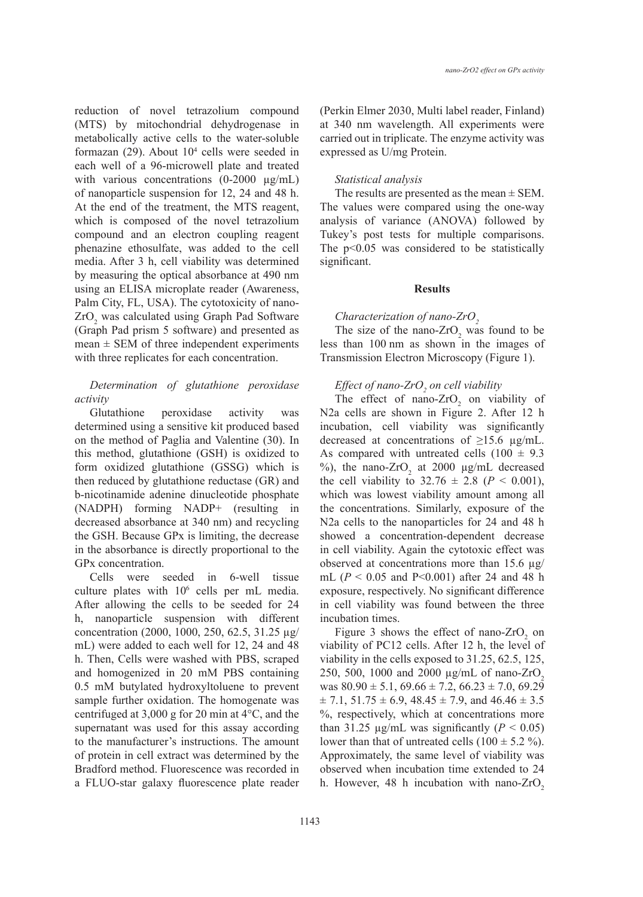reduction of novel tetrazolium compound (MTS) by mitochondrial dehydrogenase in metabolically active cells to the water-soluble formazan  $(29)$ . About  $10<sup>4</sup>$  cells were seeded in each well of a 96-microwell plate and treated with various concentrations  $(0-2000 \mu g/mL)$ of nanoparticle suspension for 12, 24 and 48 h. At the end of the treatment, the MTS reagent, which is composed of the novel tetrazolium compound and an electron coupling reagent phenazine ethosulfate, was added to the cell media. After 3 h, cell viability was determined by measuring the optical absorbance at 490 nm using an ELISA microplate reader (Awareness, Palm City, FL, USA). The cytotoxicity of nano- $ZrO<sub>2</sub>$  was calculated using Graph Pad Software (Graph Pad prism 5 software) and presented as  $mean \pm SEM$  of three independent experiments with three replicates for each concentration.

## *Determination of glutathione peroxidase activity*

Glutathione peroxidase activity was determined using a sensitive kit produced based on the method of Paglia and Valentine (30). In this method, glutathione (GSH) is oxidized to form oxidized glutathione (GSSG) which is then reduced by glutathione reductase (GR) and b-nicotinamide adenine dinucleotide phosphate (NADPH) forming NADP+ (resulting in decreased absorbance at 340 nm) and recycling the GSH. Because GPx is limiting, the decrease in the absorbance is directly proportional to the GPx concentration.

Cells were seeded in 6-well tissue culture plates with  $10^6$  cells per mL media. After allowing the cells to be seeded for 24 h, nanoparticle suspension with different concentration (2000, 1000, 250, 62.5, 31.25 µg/ mL) were added to each well for 12, 24 and 48 h. Then, Cells were washed with PBS, scraped and homogenized in 20 mM PBS containing 0.5 mM butylated hydroxyltoluene to prevent sample further oxidation. The homogenate was centrifuged at 3,000 g for 20 min at 4°C, and the supernatant was used for this assay according to the manufacturer's instructions. The amount of protein in cell extract was determined by the Bradford method. Fluorescence was recorded in a FLUO-star galaxy fluorescence plate reader

(Perkin Elmer 2030, Multi label reader, Finland) at 340 nm wavelength. All experiments were carried out in triplicate. The enzyme activity was expressed as U/mg Protein.

#### *Statistical analysis*

The results are presented as the mean  $\pm$  SEM. The values were compared using the one-way analysis of variance (ANOVA) followed by Tukey's post tests for multiple comparisons. The p<0.05 was considered to be statistically significant.

#### **Results**

## *Characterization of nano-ZrO*<sub>2</sub>

The size of the nano- $ZrO_2$  was found to be less than 100 nm as shown in the images of Transmission Electron Microscopy (Figure 1).

## *Effect of nano-ZrO2 on cell viability*

The effect of nano- $ZrO_2$  on viability of N2a cells are shown in Figure 2. After 12 h incubation, cell viability was significantly decreased at concentrations of  $\geq 15.6$  µg/mL. As compared with untreated cells  $(100 \pm 9.3)$ %), the nano- $ZrO_2$  at 2000  $\mu$ g/mL decreased the cell viability to  $32.76 \pm 2.8$  ( $P < 0.001$ ), which was lowest viability amount among all the concentrations. Similarly, exposure of the N2a cells to the nanoparticles for 24 and 48 h showed a concentration-dependent decrease in cell viability. Again the cytotoxic effect was observed at concentrations more than 15.6 µg/ mL (*P* < 0.05 and P<0.001) after 24 and 48 h exposure, respectively. No significant difference in cell viability was found between the three incubation times.

Figure 3 shows the effect of nano- $ZrO_2$  on viability of PC12 cells. After 12 h, the level of viability in the cells exposed to 31.25, 62.5, 125, 250, 500, 1000 and 2000 μg/mL of nano-ZrO<sub>2</sub> was  $80.90 \pm 5.1$ ,  $69.66 \pm 7.2$ ,  $66.23 \pm 7.0$ ,  $69.29$  $\pm$  7.1, 51.75  $\pm$  6.9, 48.45  $\pm$  7.9, and 46.46  $\pm$  3.5 %, respectively, which at concentrations more than 31.25  $\mu$ g/mL was significantly (*P* < 0.05) lower than that of untreated cells  $(100 \pm 5.2 \%)$ . Approximately, the same level of viability was observed when incubation time extended to 24 h. However, 48 h incubation with nano-ZrO<sub>2</sub>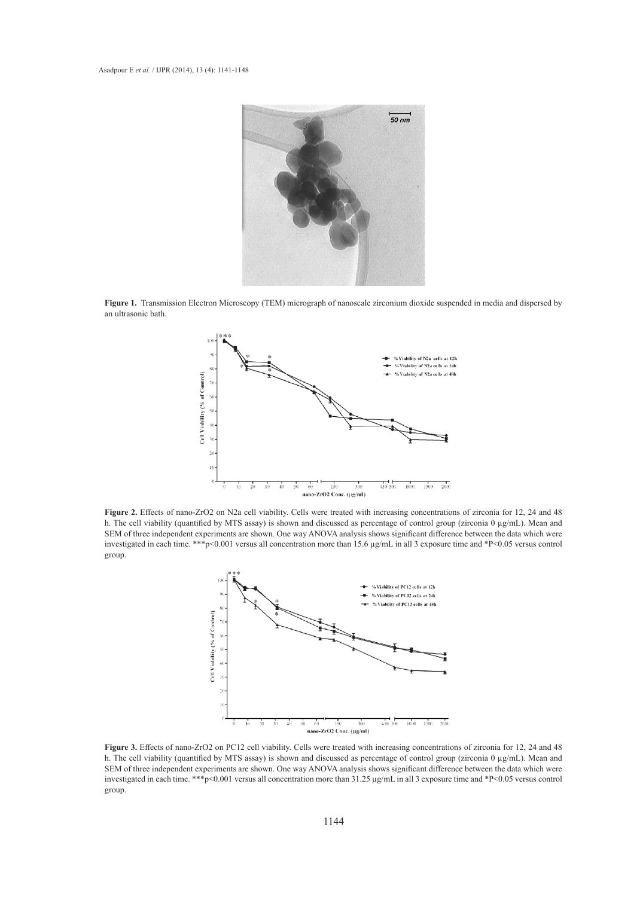

**Figure 1.** Transmission Electron Microscopy (TEM) micrograph of nanoscale zirconium dioxide suspended in media and dispersed by an ultrasonic bath.



**Figure 2.** Effects of nano-ZrO2 on N2a cell viability. Cells were treated with increasing concentrations of zirconia for 12, 24 and 48 h. The cell viability (quantified by MTS assay) is shown and discussed as percentage of control group (zirconia 0 µg/mL). Mean and SEM of three independent experiments are shown. One way ANOVA analysis shows significant difference between the data which were investigated in each time. \*\*\*p<0.001 versus all concentration more than 15.6 µg/mL in all 3 exposure time and \*P<0.05 versus control group.



**Figure 3.** Effects of nano-ZrO2 on PC12 cell viability. Cells were treated with increasing concentrations of zirconia for 12, 24 and 48 h. The cell viability (quantified by MTS assay) is shown and discussed as percentage of control group (zirconia 0 µg/mL). Mean and SEM of three independent experiments are shown. One way ANOVA analysis shows significant difference between the data which were investigated in each time. \*\*\*p<0.001 versus all concentration more than 31.25 µg/mL in all 3 exposure time and \*P<0.05 versus control group.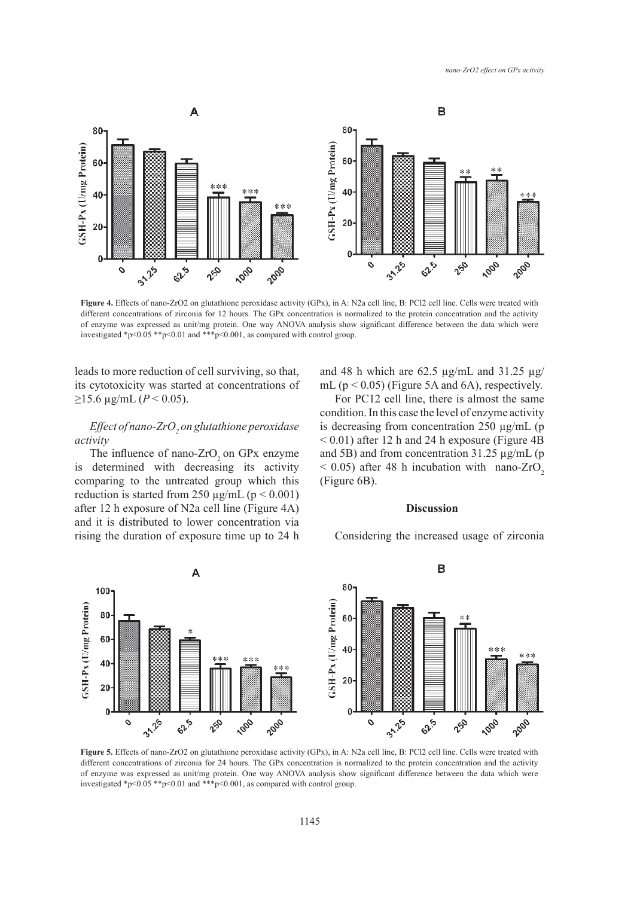

**Figure 4.** Effects of nano-ZrO2 on glutathione peroxidase activity (GPx), in A: N2a cell line, B: PCl2 cell line. Cells were treated with different concentrations of zirconia for 12 hours. The GPx concentration is normalized to the protein concentration and the activity of enzyme was expressed as unit/mg protein. One way ANOVA analysis show significant difference between the data which were investigated \*p<0.05 \*\*p<0.01 and \*\*\*p<0.001, as compared with control group.

leads to more reduction of cell surviving, so that, its cytotoxicity was started at concentrations of  $≥15.6$  μg/mL (*P* < 0.05).

## *Effect of nano-ZrO2 on glutathione peroxidase activity*

The influence of nano-ZrO<sub>2</sub> on GP<sub>x</sub> enzyme is determined with decreasing its activity comparing to the untreated group which this reduction is started from 250  $\mu$ g/mL (p < 0.001) after 12 h exposure of N2a cell line (Figure 4A) and it is distributed to lower concentration via rising the duration of exposure time up to 24 h and 48 h which are 62.5  $\mu$ g/mL and 31.25  $\mu$ g/ mL ( $p < 0.05$ ) (Figure 5A and 6A), respectively.

For PC12 cell line, there is almost the same condition. In this case the level of enzyme activity is decreasing from concentration 250 µg/mL (p < 0.01) after 12 h and 24 h exposure (Figure 4B and 5B) and from concentration 31.25 µg/mL (p  $<$  0.05) after 48 h incubation with nano-ZrO<sub>2</sub> (Figure 6B).

## **Discussion**

Considering the increased usage of zirconia



**Figure 5.** Effects of nano-ZrO2 on glutathione peroxidase activity (GPx), in A: N2a cell line, B: PCl2 cell line. Cells were treated with different concentrations of zirconia for 24 hours. The GPx concentration is normalized to the protein concentration and the activity of enzyme was expressed as unit/mg protein. One way ANOVA analysis show significant difference between the data which were investigated \*p<0.05 \*\*p<0.01 and \*\*\*p<0.001, as compared with control group.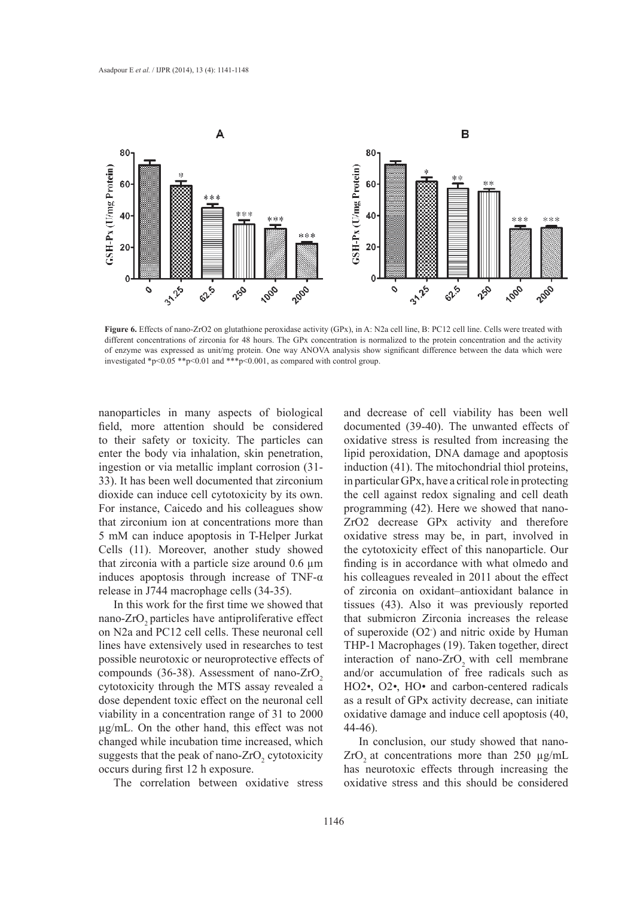

**Figure 6.** Effects of nano-ZrO2 on glutathione peroxidase activity (GPx), in A: N2a cell line, B: PC12 cell line. Cells were treated with different concentrations of zirconia for 48 hours. The GPx concentration is normalized to the protein concentration and the activity of enzyme was expressed as unit/mg protein. One way ANOVA analysis show significant difference between the data which were investigated \*p<0.05 \*\*p<0.01 and \*\*\*p<0.001, as compared with control group.

nanoparticles in many aspects of biological field, more attention should be considered to their safety or toxicity. The particles can enter the body via inhalation, skin penetration, ingestion or via metallic implant corrosion (31- 33). It has been well documented that zirconium dioxide can induce cell cytotoxicity by its own. For instance, Caicedo and his colleagues show that zirconium ion at concentrations more than 5 mM can induce apoptosis in T-Helper Jurkat Cells (11). Moreover, another study showed that zirconia with a particle size around  $0.6 \mu m$ induces apoptosis through increase of TNF- $\alpha$ release in J744 macrophage cells (34-35).

In this work for the first time we showed that nano-ZrO<sub>2</sub> particles have antiproliferative effect on N2a and PC12 cell cells. These neuronal cell lines have extensively used in researches to test possible neurotoxic or neuroprotective effects of compounds (36-38). Assessment of nano-ZrO<sub>2</sub> cytotoxicity through the MTS assay revealed a dose dependent toxic effect on the neuronal cell viability in a concentration range of 31 to 2000 µg/mL. On the other hand, this effect was not changed while incubation time increased, which suggests that the peak of nano- $ZrO_2$  cytotoxicity occurs during first 12 h exposure.

The correlation between oxidative stress

and decrease of cell viability has been well documented (39-40). The unwanted effects of oxidative stress is resulted from increasing the lipid peroxidation, DNA damage and apoptosis induction (41). The mitochondrial thiol proteins, in particular GPx, have a critical role in protecting the cell against redox signaling and cell death programming (42). Here we showed that nano-ZrO2 decrease GPx activity and therefore oxidative stress may be, in part, involved in the cytotoxicity effect of this nanoparticle. Our finding is in accordance with what olmedo and his colleagues revealed in 2011 about the effect of zirconia on oxidant–antioxidant balance in tissues (43). Also it was previously reported that submicron Zirconia increases the release of superoxide (O2- ) and nitric oxide by Human THP-1 Macrophages (19). Taken together, direct interaction of nano-ZrO<sub>2</sub> with cell membrane and/or accumulation of free radicals such as HO2*•*, O2*•*, HO*•* and carbon-centered radicals as a result of GPx activity decrease, can initiate oxidative damage and induce cell apoptosis (40, 44-46).

In conclusion, our study showed that nano- $ZrO<sub>2</sub>$  at concentrations more than 250  $\mu$ g/mL has neurotoxic effects through increasing the oxidative stress and this should be considered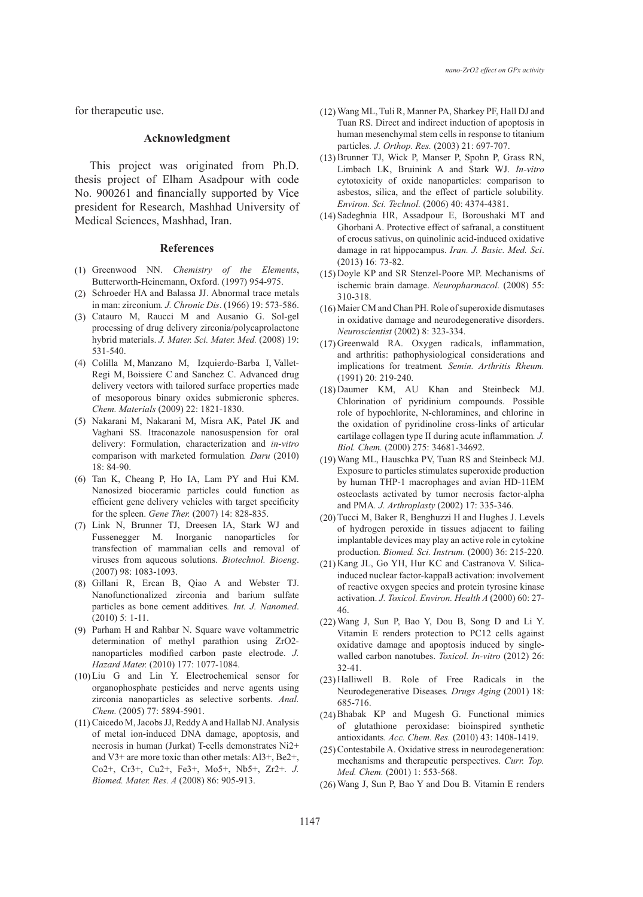for therapeutic use.

#### **Acknowledgment**

This project was originated from Ph.D. thesis project of Elham Asadpour with code No. 900261 and financially supported by Vice president for Research, Mashhad University of Medical Sciences, Mashhad, Iran.

#### **References**

- Greenwood NN. *Chemistry of the Elements*, (1) Butterworth-Heinemann, Oxford. (1997) 954-975.
- (2) Schroeder HA and Balassa JJ. Abnormal trace metals in man: zirconium*. J. Chronic Dis*. (1966) 19: 573-586.
- Catauro M, Raucci M and Ausanio G. Sol-gel (3) processing of drug delivery zirconia/polycaprolactone hybrid materials. *J. Mater. Sci. Mater. Med.* (2008) 19: 531-540.
- Colilla M, Manzano M, Izquierdo-Barba I, Vallet-(4) Regi M, Boissiere C and Sanchez C. Advanced drug delivery vectors with tailored surface properties made of mesoporous binary oxides submicronic spheres. *Chem. Materials* (2009) 22: 1821-1830.
- (5) Nakarani M, Nakarani M, Misra AK, Patel JK and Vaghani SS. Itraconazole nanosuspension for oral delivery: Formulation, characterization and *in-vitro* comparison with marketed formulation*. Daru* (2010) 18: 84-90.
- Tan K, Cheang P, Ho IA, Lam PY and Hui KM. (6) Nanosized bioceramic particles could function as efficient gene delivery vehicles with target specificity for the spleen. *Gene Ther.* (2007) 14: 828-835.
- (7) Link N, Brunner TJ, Dreesen IA, Stark WJ and Fussenegger M. Inorganic nanoparticles for transfection of mammalian cells and removal of viruses from aqueous solutions. *Biotechnol. Bioeng*. (2007) 98: 1083-1093.
- Gillani R, Ercan B, Qiao A and Webster TJ. (8) Nanofunctionalized zirconia and barium sulfate particles as bone cement additives*. Int. J. Nanomed*. (2010) 5: 1-11.
- Parham H and Rahbar N. Square wave voltammetric (9) determination of methyl parathion using ZrO2 nanoparticles modified carbon paste electrode. *J. Hazard Mater.* (2010) 177: 1077-1084.
- $(10)$  Liu G and Lin Y. Electrochemical sensor for organophosphate pesticides and nerve agents using zirconia nanoparticles as selective sorbents. *Anal. Chem.* (2005) 77: 5894-5901.
- (11) Caicedo M, Jacobs JJ, Reddy A and Hallab NJ. Analysis of metal ion-induced DNA damage, apoptosis, and necrosis in human (Jurkat) T-cells demonstrates Ni2+ and V3+ are more toxic than other metals: Al3+, Be2+, Co2+, Cr3+, Cu2+, Fe3+, Mo5+, Nb5+, Zr2+*. J. Biomed. Mater. Res. A* (2008) 86: 905-913.
- Wang ML, Tuli R, Manner PA, Sharkey PF, Hall DJ and (12) Tuan RS. Direct and indirect induction of apoptosis in human mesenchymal stem cells in response to titanium particles*. J. Orthop. Res.* (2003) 21: 697-707.
- (13) Brunner TJ, Wick P, Manser P, Spohn P, Grass RN, Limbach LK, Bruinink A and Stark WJ. *In-vitro* cytotoxicity of oxide nanoparticles: comparison to asbestos, silica, and the effect of particle solubility*. Environ. Sci. Technol.* (2006) 40: 4374-4381.
- (14) Sadeghnia HR, Assadpour E, Boroushaki MT and Ghorbani A. Protective effect of safranal, a constituent of crocus sativus, on quinolinic acid-induced oxidative damage in rat hippocampus. *Iran. J. Basic. Med. Sci*. (2013) 16: 73-82.
- (15) Doyle KP and SR Stenzel-Poore MP. Mechanisms of ischemic brain damage. *Neuropharmacol.* (2008) 55: 310-318.
- Maier CM and Chan PH. Role of superoxide dismutases (16) in oxidative damage and neurodegenerative disorders. *Neuroscientist* (2002) 8: 323-334.
- (17) Greenwald RA. Oxygen radicals, inflammation, and arthritis: pathophysiological considerations and implications for treatment*. Semin. Arthritis Rheum.* (1991) 20: 219-240.
- Daumer KM, AU Khan and Steinbeck MJ. (18) Chlorination of pyridinium compounds. Possible role of hypochlorite, N-chloramines, and chlorine in the oxidation of pyridinoline cross-links of articular cartilage collagen type II during acute inflammation*. J. Biol. Chem.* (2000) 275: 34681-34692.
- Wang ML, Hauschka PV, Tuan RS and Steinbeck MJ. (19) Exposure to particles stimulates superoxide production by human THP-1 macrophages and avian HD-11EM osteoclasts activated by tumor necrosis factor-alpha and PMA*. J. Arthroplasty* (2002) 17: 335-346.
- (20) Tucci M, Baker R, Benghuzzi H and Hughes J. Levels of hydrogen peroxide in tissues adjacent to failing implantable devices may play an active role in cytokine production*. Biomed. Sci. Instrum.* (2000) 36: 215-220.
- (21) Kang JL, Go YH, Hur KC and Castranova V. Silicainduced nuclear factor-kappaB activation: involvement of reactive oxygen species and protein tyrosine kinase activation. *J. Toxicol. Environ. Health A* (2000) 60: 27- 46.
- Wang J, Sun P, Bao Y, Dou B, Song D and Li Y. (22) Vitamin E renders protection to PC12 cells against oxidative damage and apoptosis induced by singlewalled carbon nanotubes. *Toxicol. In-vitro* (2012) 26: 32-41.
- $(23)$  Halliwell B. Role of Free Radicals in the Neurodegenerative Diseases*. Drugs Aging* (2001) 18: 685-716.
- Bhabak KP and Mugesh G. Functional mimics (24) of glutathione peroxidase: bioinspired synthetic antioxidants*. Acc. Chem. Res.* (2010) 43: 1408-1419.
- (25) Contestabile A. Oxidative stress in neurodegeneration: mechanisms and therapeutic perspectives. *Curr. Top. Med. Chem.* (2001) 1: 553-568.
- Wang J, Sun P, Bao Y and Dou B. Vitamin E renders (26)